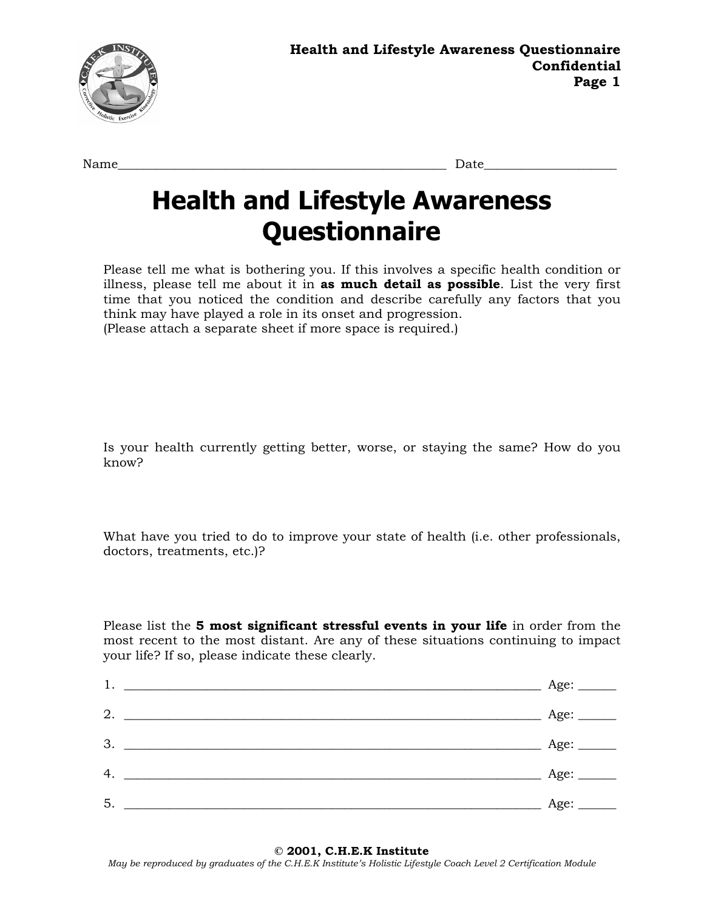

Name\_\_\_\_\_\_\_\_\_\_\_\_\_\_\_\_\_\_\_\_\_\_\_\_\_\_\_\_\_\_\_\_\_\_\_\_\_\_\_\_\_\_\_\_\_\_\_\_\_\_\_\_ Date\_\_\_\_\_\_\_\_\_\_\_\_\_\_\_\_\_\_\_\_\_

## **Health and Lifestyle Awareness Questionnaire**

Please tell me what is bothering you. If this involves a specific health condition or illness, please tell me about it in **as much detail as possible**. List the very first time that you noticed the condition and describe carefully any factors that you think may have played a role in its onset and progression. (Please attach a separate sheet if more space is required.)

Is your health currently getting better, worse, or staying the same? How do you know?

What have you tried to do to improve your state of health (i.e. other professionals, doctors, treatments, etc.)?

Please list the **5 most significant stressful events in your life** in order from the most recent to the most distant. Are any of these situations continuing to impact your life? If so, please indicate these clearly.

| 1. | Age: |
|----|------|
| 2. | Age: |
| 3. | Age: |
| 4. | Age: |
| 5. | Age: |

*May be reproduced by graduates of the C.H.E.K Institute's Holistic Lifestyle Coach Level 2 Certification Module*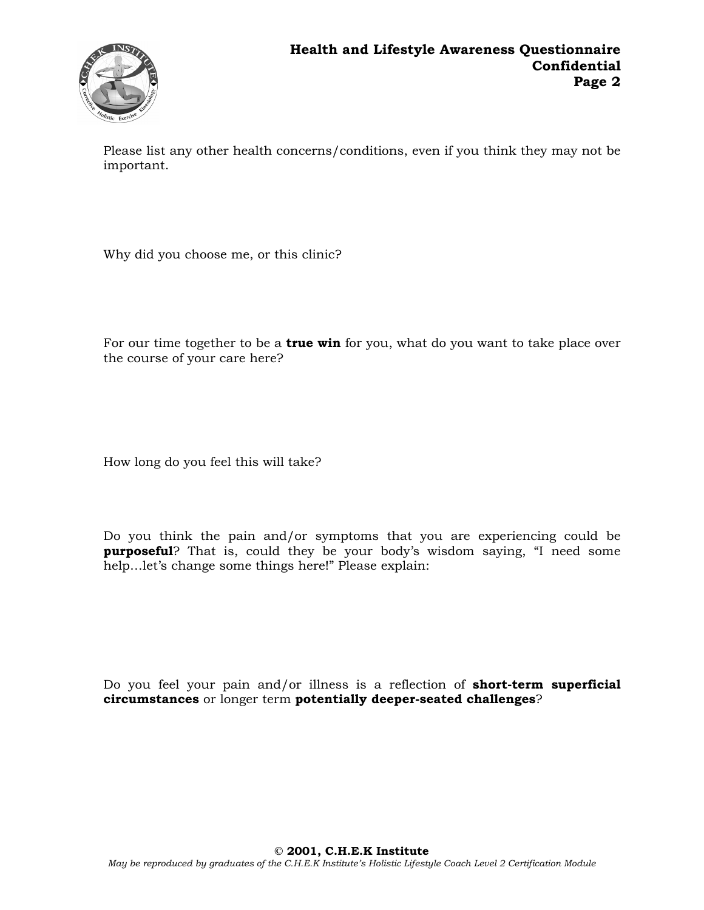

Please list any other health concerns/conditions, even if you think they may not be important.

Why did you choose me, or this clinic?

For our time together to be a **true win** for you, what do you want to take place over the course of your care here?

How long do you feel this will take?

Do you think the pain and/or symptoms that you are experiencing could be **purposeful**? That is, could they be your body's wisdom saying, "I need some help…let's change some things here!" Please explain:

Do you feel your pain and/or illness is a reflection of **short-term superficial circumstances** or longer term **potentially deeper-seated challenges**?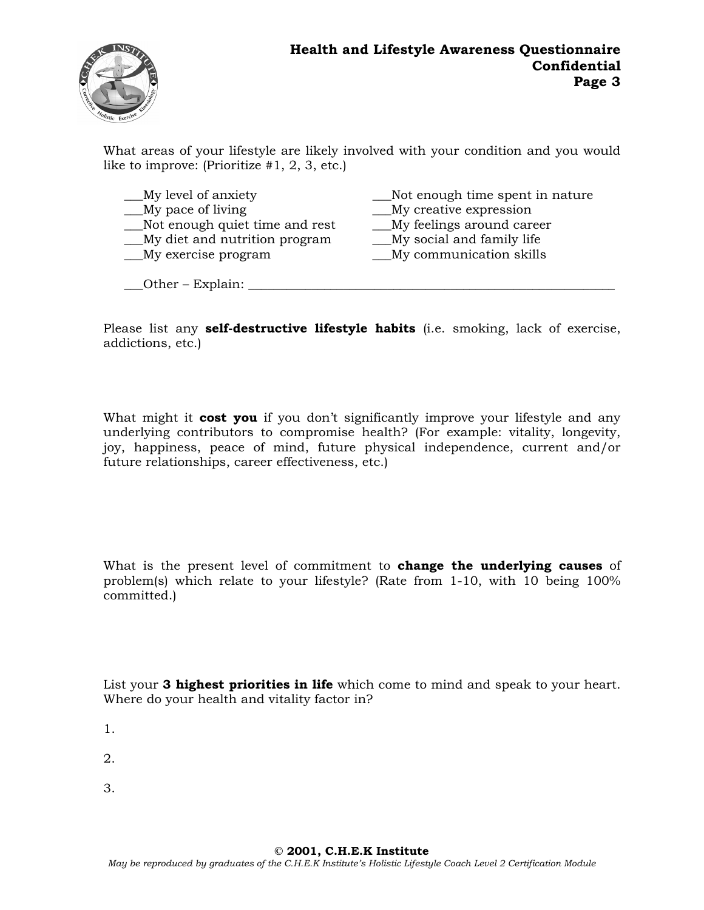

What areas of your lifestyle are likely involved with your condition and you would like to improve: (Prioritize #1, 2, 3, etc.)

| __My level of anxiety          | Not enough time spent in nature  |
|--------------------------------|----------------------------------|
| My pace of living              | <u>My</u> creative expression    |
| Not enough quiet time and rest | __My feelings around career      |
| My diet and nutrition program  | <u>My</u> social and family life |
| _My exercise program           | _My communication skills         |
|                                |                                  |

\_\_\_Other – Explain: \_\_\_\_\_\_\_\_\_\_\_\_\_\_\_\_\_\_\_\_\_\_\_\_\_\_\_\_\_\_\_\_\_\_\_\_\_\_\_\_\_\_\_\_\_\_\_\_\_\_\_\_\_\_\_\_\_\_

Please list any **self-destructive lifestyle habits** (i.e. smoking, lack of exercise, addictions, etc.)

What might it **cost you** if you don't significantly improve your lifestyle and any underlying contributors to compromise health? (For example: vitality, longevity, joy, happiness, peace of mind, future physical independence, current and/or future relationships, career effectiveness, etc.)

What is the present level of commitment to **change the underlying causes** of problem(s) which relate to your lifestyle? (Rate from 1-10, with 10 being 100% committed.)

List your **3 highest priorities in life** which come to mind and speak to your heart. Where do your health and vitality factor in?

1.

2.

3.